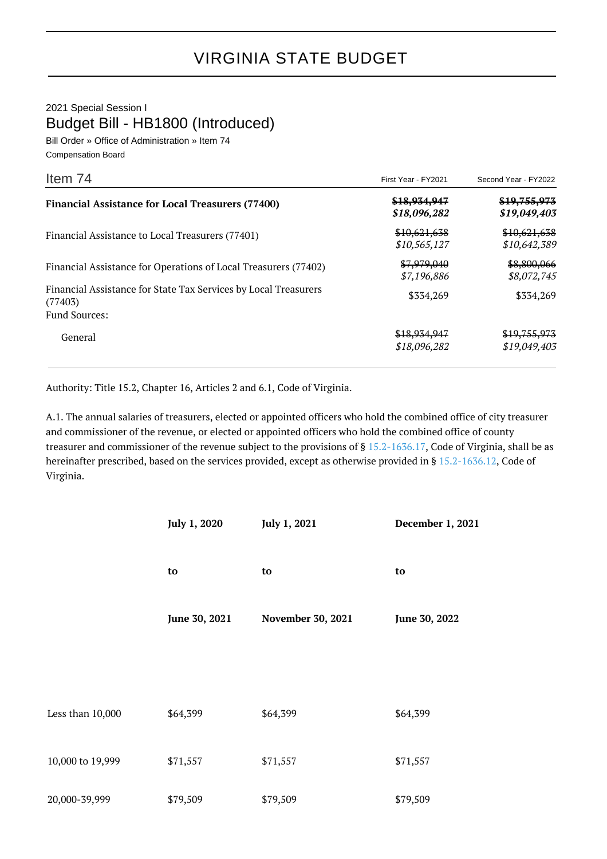## 2021 Special Session I Budget Bill - HB1800 (Introduced)

Bill Order » Office of Administration » Item 74 Compensation Board

| Item 74                                                                    | First Year - FY2021          | Second Year - FY2022                    |
|----------------------------------------------------------------------------|------------------------------|-----------------------------------------|
| <b>Financial Assistance for Local Treasurers (77400)</b>                   | \$18,934,947<br>\$18,096,282 | <del>\$19,755,973</del><br>\$19,049,403 |
| Financial Assistance to Local Treasurers (77401)                           | \$10,621,638<br>\$10,565,127 | \$10,621,638<br>\$10,642,389            |
| Financial Assistance for Operations of Local Treasurers (77402)            | \$7,979,040<br>\$7,196,886   | \$8,800,066<br>\$8,072,745              |
| Financial Assistance for State Tax Services by Local Treasurers<br>(77403) | \$334,269                    | \$334,269                               |
| <b>Fund Sources:</b>                                                       |                              |                                         |
| General                                                                    | \$18,934,947<br>\$18,096,282 | \$19,755,973<br>\$19,049,403            |

Authority: Title 15.2, Chapter 16, Articles 2 and 6.1, Code of Virginia.

A.1. The annual salaries of treasurers, elected or appointed officers who hold the combined office of city treasurer and commissioner of the revenue, or elected or appointed officers who hold the combined office of county treasurer and commissioner of the revenue subject to the provisions of § [15.2-1636.17](http://law.lis.virginia.gov/vacode/15.2-1636.17/), Code of Virginia, shall be as hereinafter prescribed, based on the services provided, except as otherwise provided in § [15.2-1636.12,](http://law.lis.virginia.gov/vacode/15.2-1636.12/) Code of Virginia.

|                  | July 1, 2020  | July 1, 2021      | December 1, 2021 |
|------------------|---------------|-------------------|------------------|
|                  | to            | to                | to               |
|                  | June 30, 2021 | November 30, 2021 | June 30, 2022    |
|                  |               |                   |                  |
| Less than 10,000 | \$64,399      | \$64,399          | \$64,399         |
| 10,000 to 19,999 | \$71,557      | \$71,557          | \$71,557         |
| 20,000-39,999    | \$79,509      | \$79,509          | \$79,509         |